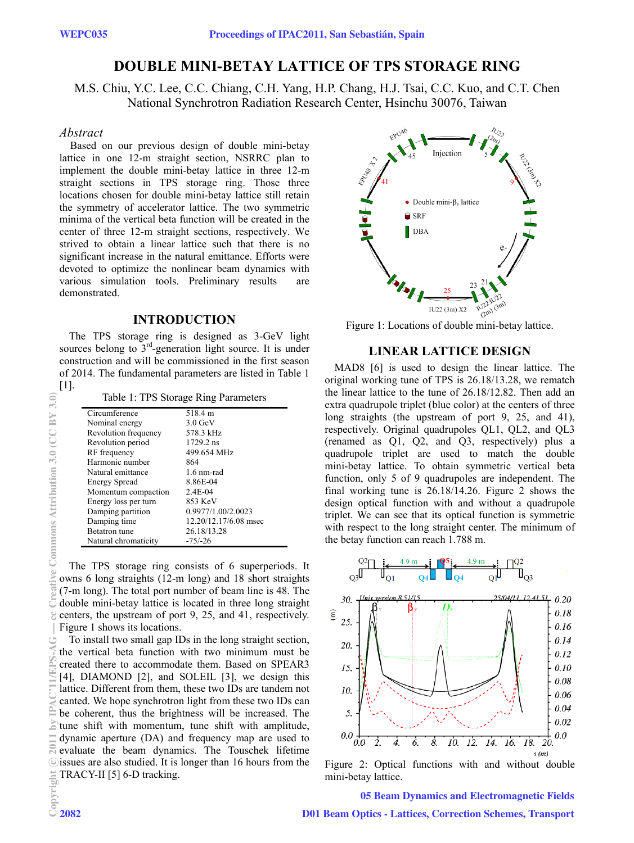# **DOUBLE MINI-BETAY LATTICE OF TPS STORAGE RING**

M.S. Chiu, Y.C. Lee, C.C. Chiang, C.H. Yang, H.P. Chang, H.J. Tsai, C.C. Kuo, and C.T. Chen National Synchrotron Radiation Research Center, Hsinchu 30076, Taiwan

## *Abstract*

Based on our previous design of double mini-betay lattice in one 12-m straight section, NSRRC plan to implement the double mini-betay lattice in three 12-m straight sections in TPS storage ring. Those three locations chosen for double mini-betay lattice still retain the symmetry of accelerator lattice. The two symmetric minima of the vertical beta function will be created in the center of three 12-m straight sections, respectively. We strived to obtain a linear lattice such that there is no significant increase in the natural emittance. Efforts were devoted to optimize the nonlinear beam dynamics with various simulation tools. Preliminary results are demonstrated.

## **INTRODUCTION**

The TPS storage ring is designed as 3-GeV light sources belong to  $3<sup>rd</sup>$ -generation light source. It is under construction and will be commissioned in the first season of 2014. The fundamental parameters are listed in Table 1

[1].

| Table 1: TPS Storage Ring Parameters |                       |  |  |  |
|--------------------------------------|-----------------------|--|--|--|
| Circumference                        | 518.4 m               |  |  |  |
| Nominal energy                       | $3.0 \text{ GeV}$     |  |  |  |
| Revolution frequency                 | 578.3 kHz             |  |  |  |
| Revolution period                    | 1729.2 ns             |  |  |  |
| RF frequency                         | 499.654 MHz           |  |  |  |
| Harmonic number                      | 864                   |  |  |  |
| Natural emittance                    | $1.6$ nm-rad          |  |  |  |
| <b>Energy Spread</b>                 | 8.86E-04              |  |  |  |
| Momentum compaction                  | $2.4E-04$             |  |  |  |
| Energy loss per turn                 | 853 KeV               |  |  |  |
| Damping partition                    | 0.9977/1.00/2.0023    |  |  |  |
| Damping time                         | 12.20/12.17/6.08 msec |  |  |  |
| <b>Betatron</b> tune                 | 26.18/13.28           |  |  |  |
| Natural chromaticity                 | $-75/ -26$            |  |  |  |

The TPS storage ring consists of 6 superperiods. It owns 6 long straights (12-m long) and 18 short straights (7-m long). The total port number of beam line is 48. The double mini-betay lattice is located in three long straight centers, the upstream of port 9, 25, and 41, respectively. Figure 1 shows its locations.

To install two small gap IDs in the long straight section, the vertical beta function with two minimum must be created there to accommodate them. Based on SPEAR3 [4], DIAMOND [2], and SOLEIL [3], we design this lattice. Different from them, these two IDs are tandem not canted. We hope synchrotron light from these two IDs can be coherent, thus the brightness will be increased. The tune shift with momentum, tune shift with amplitude, dynamic aperture (DA) and frequency map are used to evaluate the beam dynamics. The Touschek lifetime issues are also studied. It is longer than 16 hours from the TRACY-II [5] 6-D tracking.



Figure 1: Locations of double mini-betay lattice.

#### **LINEAR LATTICE DESIGN**

MAD8 [6] is used to design the linear lattice. The original working tune of TPS is 26.18/13.28, we rematch the linear lattice to the tune of 26.18/12.82. Then add an extra quadrupole triplet (blue color) at the centers of three long straights (the upstream of port 9, 25, and 41), respectively. Original quadrupoles QL1, QL2, and QL3 (renamed as Q1, Q2, and Q3, respectively) plus a quadrupole triplet are used to match the double mini-betay lattice. To obtain symmetric vertical beta function, only 5 of 9 quadrupoles are independent. The final working tune is 26.18/14.26. Figure 2 shows the design optical function with and without a quadrupole triplet. We can see that its optical function is symmetric with respect to the long straight center. The minimum of the betay function can reach 1.788 m.



Figure 2: Optical functions with and without double mini-betay lattice.

05 Beam Dynamics and Electromagnetic Fields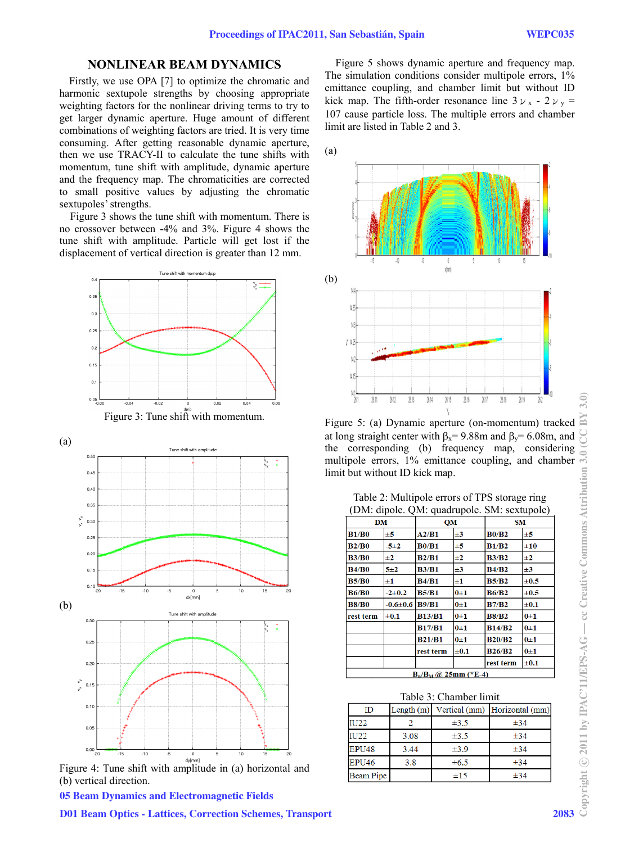## **NONLINEAR BEAM DYNAMICS**

Firstly, we use OPA [7] to optimize the chromatic and harmonic sextupole strengths by choosing appropriate weighting factors for the nonlinear driving terms to try to get larger dynamic aperture. Huge amount of different combinations of weighting factors are tried. It is very time consuming. After getting reasonable dynamic aperture, then we use TRACY-II to calculate the tune shifts with momentum, tune shift with amplitude, dynamic aperture and the frequency map. The chromaticities are corrected to small positive values by adjusting the chromatic sextupoles' strengths.

 Figure 3 shows the tune shift with momentum. There is no crossover between -4% and 3%. Figure 4 shows the tune shift with amplitude. Particle will get lost if the displacement of vertical direction is greater than 12 mm.





Figure 4: Tune shift with amplitude in (a) horizontal and (b) vertical direction.

05 Beam Dynamics and Electromagnetic Fields

D01 Beam Optics - Lattices, Correction Schemes, Transport 2083

 Figure 5 shows dynamic aperture and frequency map. The simulation conditions consider multipole errors,  $1\%$ emittance coupling, and chamber limit but without ID kick map. The fifth-order resonance line  $3v_x - 2v_y =$ 107 cause particle loss. The multiple errors and chamber limit are listed in Table 2 and 3.



Figure 5: (a) Dynamic aperture (on-momentum) tracked at long straight center with  $\beta_x = 9.88$ m and  $\beta_y = 6.08$ m, and multipole errors, 1% emittance coupling, and chamber limit but without ID kick map.

#### Table 2: Multipole errors of TPS storage ring (DM: dipole. QM: quadrupole. SM: sextupole)

| multipole errors, 1% emittance coupling, and chamber<br>limit but without ID kick map. |                      |               |                                               |               |           |      |
|----------------------------------------------------------------------------------------|----------------------|---------------|-----------------------------------------------|---------------|-----------|------|
|                                                                                        |                      |               | Table 2: Multipole errors of TPS storage ring |               |           |      |
|                                                                                        |                      |               | (DM: dipole. QM: quadrupole. SM: sextupole)   |               |           |      |
| <b>DM</b>                                                                              |                      |               | QM                                            | <b>SM</b>     |           |      |
| <b>B1/B0</b>                                                                           | $\pm 5$              | A2/B1         | $\pm 3$                                       | <b>B0/B2</b>  | ±5        |      |
| B2/B0                                                                                  | $-5+2$               | <b>B0/B1</b>  | ±5                                            | <b>B1/B2</b>  | ±10       |      |
| <b>B3/B0</b>                                                                           | ±2                   | B2/B1         | ±2                                            | <b>B3/B2</b>  | $\pm 2$   |      |
| <b>B4/B0</b>                                                                           | 5±2                  | <b>B3/B1</b>  | $\pm 3$                                       | <b>B4/B2</b>  | $\pm 3$   |      |
| <b>B5/B0</b>                                                                           | $\pm 1$              | <b>B4/B1</b>  | $\pm 1$                                       | <b>B5/B2</b>  | $\pm 0.5$ |      |
| <b>B6/B0</b>                                                                           | $-2+0.2$             | <b>B5/B1</b>  | $0\pm1$                                       | <b>B6/B2</b>  | $\pm 0.5$ |      |
| <b>B8/B0</b>                                                                           | $-0.6 \pm 0.6$ B9/B1 |               | $0\pm1$                                       | <b>B7/B2</b>  | $\pm 0.1$ |      |
| rest term                                                                              | $\pm 0.1$            | <b>B13/B1</b> | $0\pm1$                                       | <b>B8/B2</b>  | $0\pm1$   |      |
|                                                                                        |                      | <b>B17/B1</b> | $0\pm1$                                       | <b>B14/B2</b> | $0\pm1$   |      |
|                                                                                        |                      | <b>B21/B1</b> | $0\pm1$                                       | <b>B20/B2</b> | $0\pm1$   |      |
|                                                                                        |                      | rest term     | $\pm 0.1$                                     | <b>B26/B2</b> | $0\pm1$   |      |
|                                                                                        |                      |               |                                               | rest term     | $\pm 0.1$ |      |
|                                                                                        |                      |               | $B_n/B_M$ (a) 25mm (*E-4)                     |               |           |      |
|                                                                                        |                      |               | Table 3: Chamber limit                        |               |           |      |
| ID                                                                                     |                      |               | Length (m) Vertical (mm) Horizontal (mm)      |               |           |      |
| <b>IU22</b>                                                                            | $\overline{2}$       | $\pm 3.5$     |                                               | ±34           |           |      |
| <b>IU22</b>                                                                            | 3.08                 | $\pm 3.5$     |                                               |               | $\pm 34$  |      |
| EPU48                                                                                  | 3.44                 | $\pm 3.9$     |                                               |               | ±34       |      |
| EPU <sub>46</sub>                                                                      | 3.8                  |               | $\pm 6.5$                                     | ±34           |           |      |
| <b>Beam Pipe</b>                                                                       |                      |               | ±15                                           | ±34           |           |      |
|                                                                                        |                      |               |                                               |               |           |      |
|                                                                                        |                      |               |                                               |               |           |      |
|                                                                                        |                      |               |                                               |               |           | 2083 |

| Table 3: Chamber limit |      |           |                                          |  |  |  |
|------------------------|------|-----------|------------------------------------------|--|--|--|
| ID                     |      |           | Length (m) Vertical (mm) Horizontal (mm) |  |  |  |
| IU22                   |      | $\pm 3.5$ | $\pm 34$                                 |  |  |  |
| IU22                   | 3.08 | $\pm 3.5$ | $\pm 34$                                 |  |  |  |
| EPU48                  | 3.44 | $\pm 3.9$ | $\pm 34$                                 |  |  |  |
| EPU <sub>46</sub>      | 3.8  | $\pm 6.5$ | $\pm 34$                                 |  |  |  |
| <b>Beam Pipe</b>       |      | ±15       | $\pm 34$                                 |  |  |  |